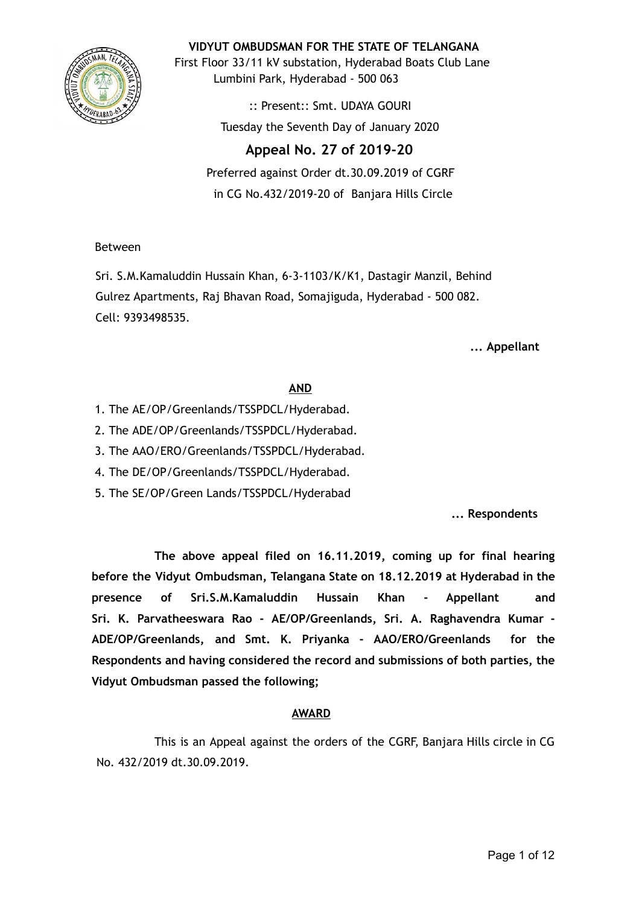

**VIDYUT OMBUDSMAN FOR THE STATE OF TELANGANA**

First Floor 33/11 kV substation, Hyderabad Boats Club Lane Lumbini Park, Hyderabad - 500 063

> :: Present:: Smt. UDAYA GOURI Tuesday the Seventh Day of January 2020

# **Appeal No. 27 of 2019-20**  Preferred against Order dt.30.09.2019 of CGRF

in CG No.432/2019-20 of Banjara Hills Circle

## Between

Sri. S.M.Kamaluddin Hussain Khan, 6-3-1103/K/K1, Dastagir Manzil, Behind Gulrez Apartments, Raj Bhavan Road, Somajiguda, Hyderabad - 500 082. Cell: 9393498535.

**... Appellant**

# **AND**

- 1. The AE/OP/Greenlands/TSSPDCL/Hyderabad.
- 2. The ADE/OP/Greenlands/TSSPDCL/Hyderabad.
- 3. The AAO/ERO/Greenlands/TSSPDCL/Hyderabad.
- 4. The DE/OP/Greenlands/TSSPDCL/Hyderabad.
- 5. The SE/OP/Green Lands/TSSPDCL/Hyderabad

**... Respondents**

**The above appeal filed on 16.11.2019, coming up for final hearing before the Vidyut Ombudsman, Telangana State on 18.12.2019 at Hyderabad in the presence of Sri.S.M.Kamaluddin Hussain Khan - Appellant and Sri. K. Parvatheeswara Rao - AE/OP/Greenlands, Sri. A. Raghavendra Kumar - ADE/OP/Greenlands, and Smt. K. Priyanka - AAO/ERO/Greenlands for the Respondents and having considered the record and submissions of both parties, the Vidyut Ombudsman passed the following;**

# **AWARD**

This is an Appeal against the orders of the CGRF, Banjara Hills circle in CG No. 432/2019 dt.30.09.2019.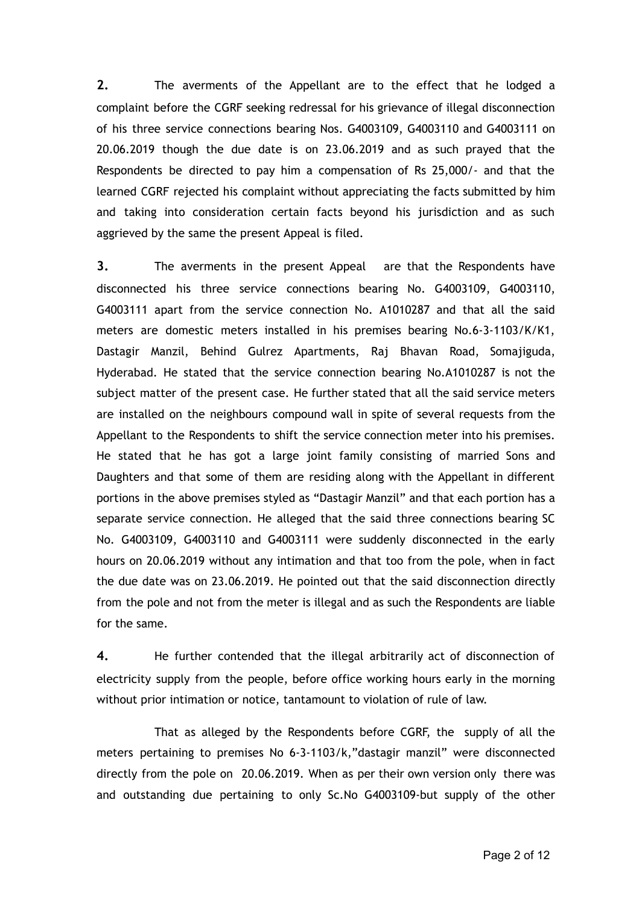**2.** The averments of the Appellant are to the effect that he lodged a complaint before the CGRF seeking redressal for his grievance of illegal disconnection of his three service connections bearing Nos. G4003109, G4003110 and G4003111 on 20.06.2019 though the due date is on 23.06.2019 and as such prayed that the Respondents be directed to pay him a compensation of Rs 25,000/- and that the learned CGRF rejected his complaint without appreciating the facts submitted by him and taking into consideration certain facts beyond his jurisdiction and as such aggrieved by the same the present Appeal is filed.

**3.** The averments in the present Appeal are that the Respondents have disconnected his three service connections bearing No. G4003109, G4003110, G4003111 apart from the service connection No. A1010287 and that all the said meters are domestic meters installed in his premises bearing No.6-3-1103/K/K1, Dastagir Manzil, Behind Gulrez Apartments, Raj Bhavan Road, Somajiguda, Hyderabad. He stated that the service connection bearing No.A1010287 is not the subject matter of the present case. He further stated that all the said service meters are installed on the neighbours compound wall in spite of several requests from the Appellant to the Respondents to shift the service connection meter into his premises. He stated that he has got a large joint family consisting of married Sons and Daughters and that some of them are residing along with the Appellant in different portions in the above premises styled as "Dastagir Manzil" and that each portion has a separate service connection. He alleged that the said three connections bearing SC No. G4003109, G4003110 and G4003111 were suddenly disconnected in the early hours on 20.06.2019 without any intimation and that too from the pole, when in fact the due date was on 23.06.2019. He pointed out that the said disconnection directly from the pole and not from the meter is illegal and as such the Respondents are liable for the same.

**4.** He further contended that the illegal arbitrarily act of disconnection of electricity supply from the people, before office working hours early in the morning without prior intimation or notice, tantamount to violation of rule of law.

That as alleged by the Respondents before CGRF, the supply of all the meters pertaining to premises No 6-3-1103/k,"dastagir manzil" were disconnected directly from the pole on 20.06.2019. When as per their own version only there was and outstanding due pertaining to only Sc.No G4003109-but supply of the other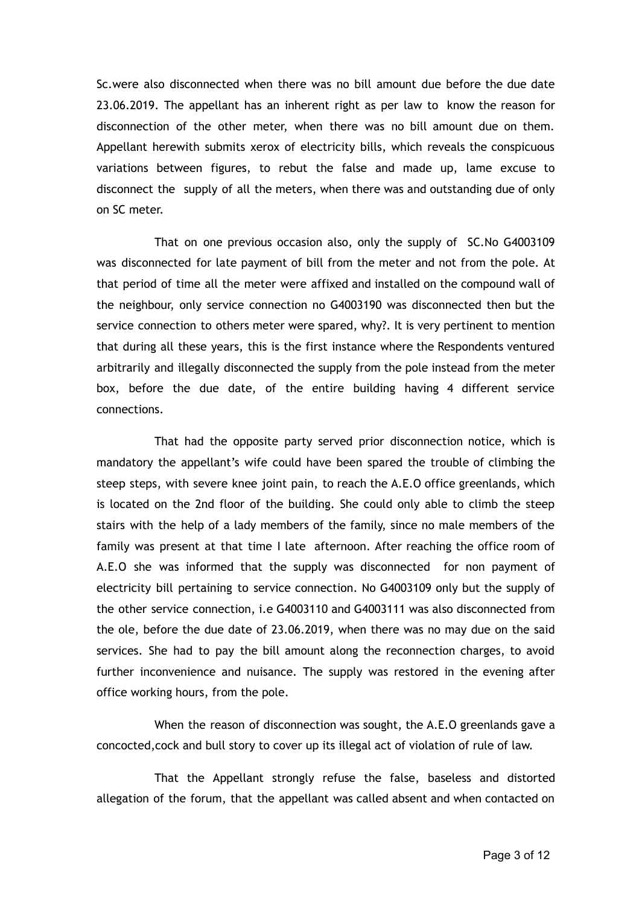Sc.were also disconnected when there was no bill amount due before the due date 23.06.2019. The appellant has an inherent right as per law to know the reason for disconnection of the other meter, when there was no bill amount due on them. Appellant herewith submits xerox of electricity bills, which reveals the conspicuous variations between figures, to rebut the false and made up, lame excuse to disconnect the supply of all the meters, when there was and outstanding due of only on SC meter.

That on one previous occasion also, only the supply of SC.No G4003109 was disconnected for late payment of bill from the meter and not from the pole. At that period of time all the meter were affixed and installed on the compound wall of the neighbour, only service connection no G4003190 was disconnected then but the service connection to others meter were spared, why?. It is very pertinent to mention that during all these years, this is the first instance where the Respondents ventured arbitrarily and illegally disconnected the supply from the pole instead from the meter box, before the due date, of the entire building having 4 different service connections.

That had the opposite party served prior disconnection notice, which is mandatory the appellant's wife could have been spared the trouble of climbing the steep steps, with severe knee joint pain, to reach the A.E.O office greenlands, which is located on the 2nd floor of the building. She could only able to climb the steep stairs with the help of a lady members of the family, since no male members of the family was present at that time I late afternoon. After reaching the office room of A.E.O she was informed that the supply was disconnected for non payment of electricity bill pertaining to service connection. No G4003109 only but the supply of the other service connection, i.e G4003110 and G4003111 was also disconnected from the ole, before the due date of 23.06.2019, when there was no may due on the said services. She had to pay the bill amount along the reconnection charges, to avoid further inconvenience and nuisance. The supply was restored in the evening after office working hours, from the pole.

When the reason of disconnection was sought, the A.E.O greenlands gave a concocted,cock and bull story to cover up its illegal act of violation of rule of law.

That the Appellant strongly refuse the false, baseless and distorted allegation of the forum, that the appellant was called absent and when contacted on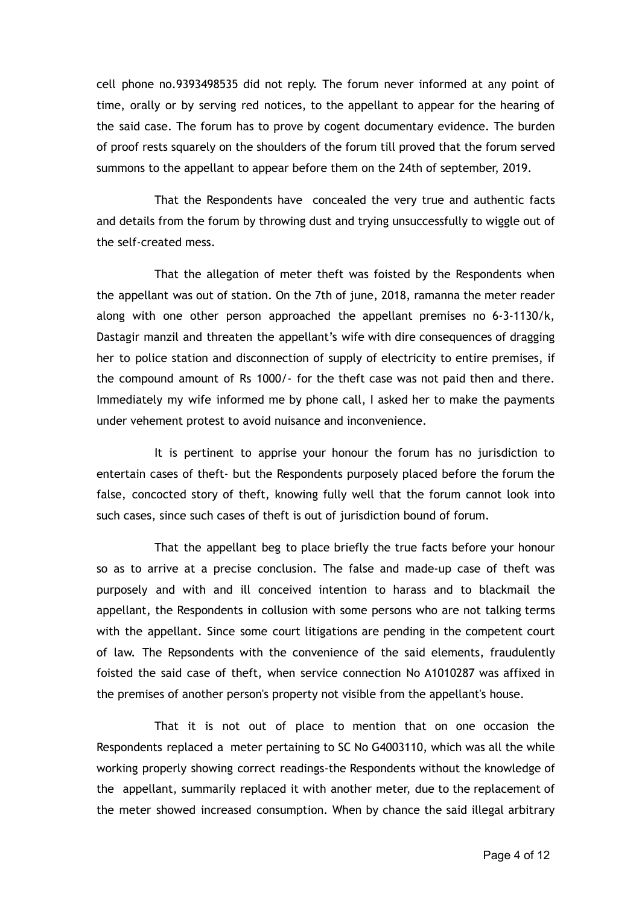cell phone no.9393498535 did not reply. The forum never informed at any point of time, orally or by serving red notices, to the appellant to appear for the hearing of the said case. The forum has to prove by cogent documentary evidence. The burden of proof rests squarely on the shoulders of the forum till proved that the forum served summons to the appellant to appear before them on the 24th of september, 2019.

That the Respondents have concealed the very true and authentic facts and details from the forum by throwing dust and trying unsuccessfully to wiggle out of the self-created mess.

That the allegation of meter theft was foisted by the Respondents when the appellant was out of station. On the 7th of june, 2018, ramanna the meter reader along with one other person approached the appellant premises no 6-3-1130/k, Dastagir manzil and threaten the appellant's wife with dire consequences of dragging her to police station and disconnection of supply of electricity to entire premises, if the compound amount of Rs 1000/- for the theft case was not paid then and there. Immediately my wife informed me by phone call, I asked her to make the payments under vehement protest to avoid nuisance and inconvenience.

It is pertinent to apprise your honour the forum has no jurisdiction to entertain cases of theft- but the Respondents purposely placed before the forum the false, concocted story of theft, knowing fully well that the forum cannot look into such cases, since such cases of theft is out of jurisdiction bound of forum.

That the appellant beg to place briefly the true facts before your honour so as to arrive at a precise conclusion. The false and made-up case of theft was purposely and with and ill conceived intention to harass and to blackmail the appellant, the Respondents in collusion with some persons who are not talking terms with the appellant. Since some court litigations are pending in the competent court of law. The Repsondents with the convenience of the said elements, fraudulently foisted the said case of theft, when service connection No A1010287 was affixed in the premises of another person's property not visible from the appellant's house.

That it is not out of place to mention that on one occasion the Respondents replaced a meter pertaining to SC No G4003110, which was all the while working properly showing correct readings-the Respondents without the knowledge of the appellant, summarily replaced it with another meter, due to the replacement of the meter showed increased consumption. When by chance the said illegal arbitrary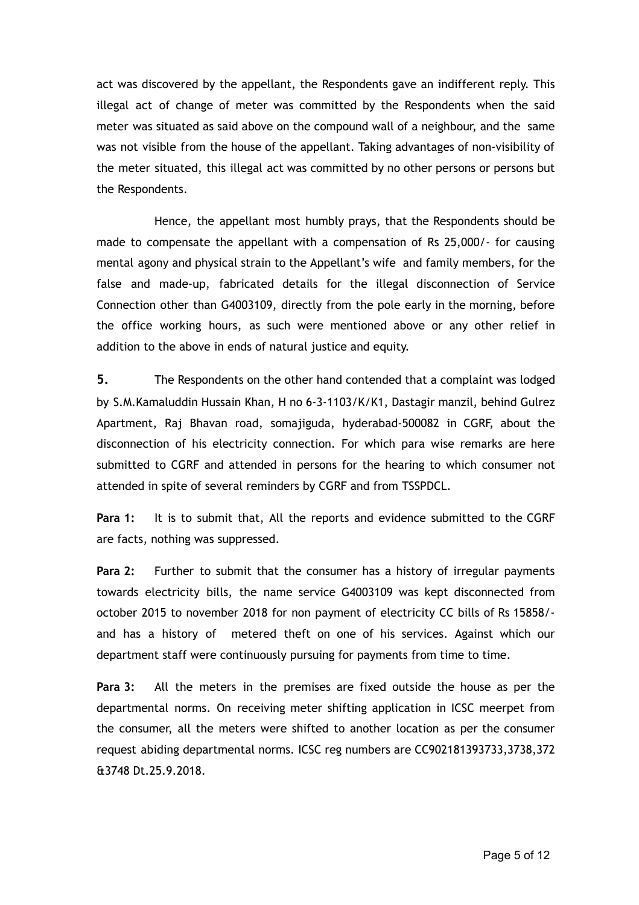act was discovered by the appellant, the Respondents gave an indifferent reply. This illegal act of change of meter was committed by the Respondents when the said meter was situated as said above on the compound wall of a neighbour, and the same was not visible from the house of the appellant. Taking advantages of non-visibility of the meter situated, this illegal act was committed by no other persons or persons but the Respondents.

Hence, the appellant most humbly prays, that the Respondents should be made to compensate the appellant with a compensation of Rs 25,000/- for causing mental agony and physical strain to the Appellant's wife and family members, for the false and made-up, fabricated details for the illegal disconnection of Service Connection other than G4003109, directly from the pole early in the morning, before the office working hours, as such were mentioned above or any other relief in addition to the above in ends of natural justice and equity.

**5.** The Respondents on the other hand contended that a complaint was lodged by S.M.Kamaluddin Hussain Khan, H no 6-3-1103/K/K1, Dastagir manzil, behind Gulrez Apartment, Raj Bhavan road, somajiguda, hyderabad-500082 in CGRF, about the disconnection of his electricity connection. For which para wise remarks are here submitted to CGRF and attended in persons for the hearing to which consumer not attended in spite of several reminders by CGRF and from TSSPDCL.

**Para 1:** It is to submit that, All the reports and evidence submitted to the CGRF are facts, nothing was suppressed.

**Para 2:** Further to submit that the consumer has a history of irregular payments towards electricity bills, the name service G4003109 was kept disconnected from october 2015 to november 2018 for non payment of electricity CC bills of Rs 15858/ and has a history of metered theft on one of his services. Against which our department staff were continuously pursuing for payments from time to time.

**Para 3:** All the meters in the premises are fixed outside the house as per the departmental norms. On receiving meter shifting application in ICSC meerpet from the consumer, all the meters were shifted to another location as per the consumer request abiding departmental norms. ICSC reg numbers are CC902181393733,3738,372 &3748 Dt.25.9.2018.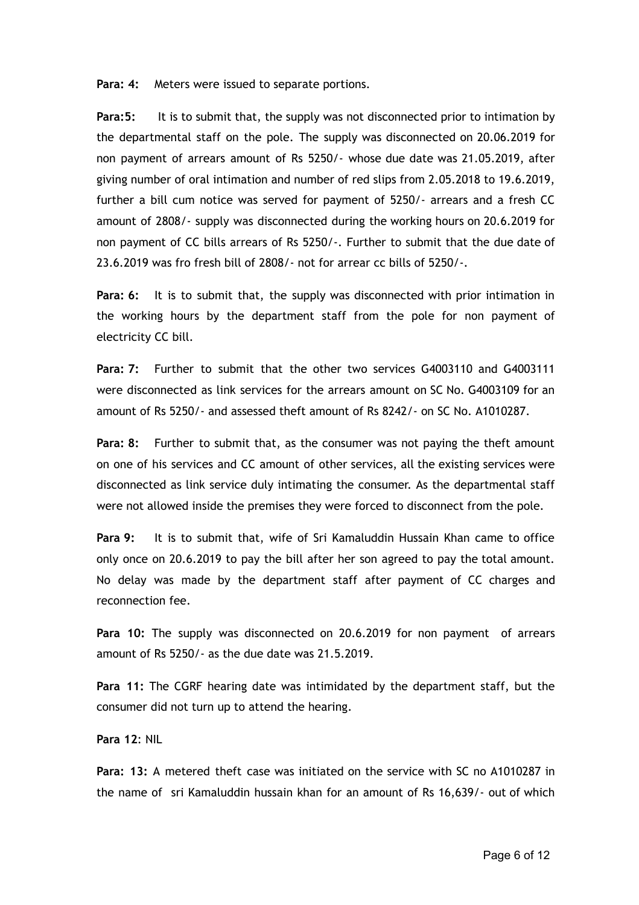**Para: 4:** Meters were issued to separate portions.

**Para:5:** It is to submit that, the supply was not disconnected prior to intimation by the departmental staff on the pole. The supply was disconnected on 20.06.2019 for non payment of arrears amount of Rs 5250/- whose due date was 21.05.2019, after giving number of oral intimation and number of red slips from 2.05.2018 to 19.6.2019, further a bill cum notice was served for payment of 5250/- arrears and a fresh CC amount of 2808/- supply was disconnected during the working hours on 20.6.2019 for non payment of CC bills arrears of Rs 5250/-. Further to submit that the due date of 23.6.2019 was fro fresh bill of 2808/- not for arrear cc bills of 5250/-.

**Para: 6:** It is to submit that, the supply was disconnected with prior intimation in the working hours by the department staff from the pole for non payment of electricity CC bill.

**Para: 7:** Further to submit that the other two services G4003110 and G4003111 were disconnected as link services for the arrears amount on SC No. G4003109 for an amount of Rs 5250/- and assessed theft amount of Rs 8242/- on SC No. A1010287.

**Para: 8:** Further to submit that, as the consumer was not paying the theft amount on one of his services and CC amount of other services, all the existing services were disconnected as link service duly intimating the consumer. As the departmental staff were not allowed inside the premises they were forced to disconnect from the pole.

**Para 9:** It is to submit that, wife of Sri Kamaluddin Hussain Khan came to office only once on 20.6.2019 to pay the bill after her son agreed to pay the total amount. No delay was made by the department staff after payment of CC charges and reconnection fee.

**Para 10:** The supply was disconnected on 20.6.2019 for non payment of arrears amount of Rs 5250/- as the due date was 21.5.2019.

**Para 11:** The CGRF hearing date was intimidated by the department staff, but the consumer did not turn up to attend the hearing.

**Para 12** : NIL

**Para: 13:** A metered theft case was initiated on the service with SC no A1010287 in the name of sri Kamaluddin hussain khan for an amount of Rs 16,639/- out of which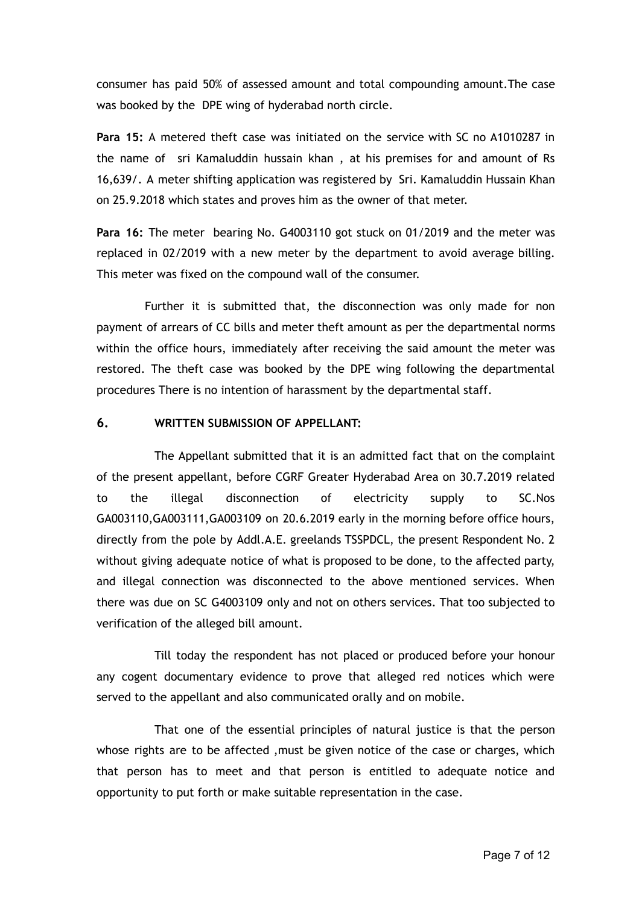consumer has paid 50% of assessed amount and total compounding amount.The case was booked by the DPE wing of hyderabad north circle.

**Para 15:** A metered theft case was initiated on the service with SC no A1010287 in the name of sri Kamaluddin hussain khan , at his premises for and amount of Rs 16,639/. A meter shifting application was registered by Sri. Kamaluddin Hussain Khan on 25.9.2018 which states and proves him as the owner of that meter.

**Para 16:** The meter bearing No. G4003110 got stuck on 01/2019 and the meter was replaced in 02/2019 with a new meter by the department to avoid average billing. This meter was fixed on the compound wall of the consumer.

Further it is submitted that, the disconnection was only made for non payment of arrears of CC bills and meter theft amount as per the departmental norms within the office hours, immediately after receiving the said amount the meter was restored. The theft case was booked by the DPE wing following the departmental procedures There is no intention of harassment by the departmental staff.

#### **6. WRITTEN SUBMISSION OF APPELLANT:**

The Appellant submitted that it is an admitted fact that on the complaint of the present appellant, before CGRF Greater Hyderabad Area on 30.7.2019 related to the illegal disconnection of electricity supply to SC.Nos GA003110,GA003111,GA003109 on 20.6.2019 early in the morning before office hours, directly from the pole by Addl.A.E. greelands TSSPDCL, the present Respondent No. 2 without giving adequate notice of what is proposed to be done, to the affected party, and illegal connection was disconnected to the above mentioned services. When there was due on SC G4003109 only and not on others services. That too subjected to verification of the alleged bill amount.

Till today the respondent has not placed or produced before your honour any cogent documentary evidence to prove that alleged red notices which were served to the appellant and also communicated orally and on mobile.

That one of the essential principles of natural justice is that the person whose rights are to be affected ,must be given notice of the case or charges, which that person has to meet and that person is entitled to adequate notice and opportunity to put forth or make suitable representation in the case.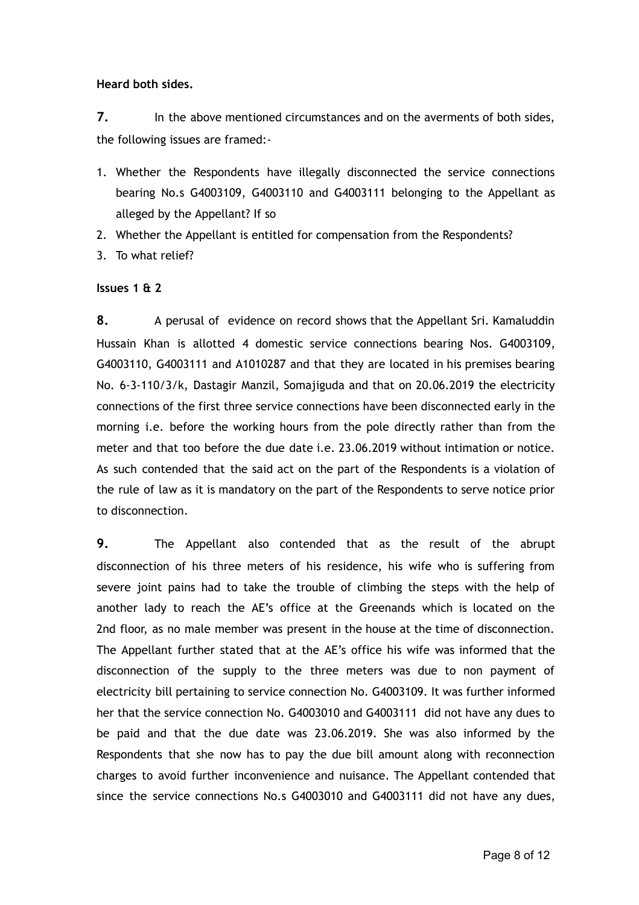**Heard both sides.**

**7.** In the above mentioned circumstances and on the averments of both sides, the following issues are framed:-

- 1. Whether the Respondents have illegally disconnected the service connections bearing No.s G4003109, G4003110 and G4003111 belonging to the Appellant as alleged by the Appellant? If so
- 2. Whether the Appellant is entitled for compensation from the Respondents?
- 3. To what relief?

#### **Issues 1 & 2**

**8.** A perusal of evidence on record shows that the Appellant Sri. Kamaluddin Hussain Khan is allotted 4 domestic service connections bearing Nos. G4003109, G4003110, G4003111 and A1010287 and that they are located in his premises bearing No. 6-3-110/3/k, Dastagir Manzil, Somajiguda and that on 20.06.2019 the electricity connections of the first three service connections have been disconnected early in the morning i.e. before the working hours from the pole directly rather than from the meter and that too before the due date i.e. 23.06.2019 without intimation or notice. As such contended that the said act on the part of the Respondents is a violation of the rule of law as it is mandatory on the part of the Respondents to serve notice prior to disconnection.

**9.** The Appellant also contended that as the result of the abrupt disconnection of his three meters of his residence, his wife who is suffering from severe joint pains had to take the trouble of climbing the steps with the help of another lady to reach the AE's office at the Greenands which is located on the 2nd floor, as no male member was present in the house at the time of disconnection. The Appellant further stated that at the AE's office his wife was informed that the disconnection of the supply to the three meters was due to non payment of electricity bill pertaining to service connection No. G4003109. It was further informed her that the service connection No. G4003010 and G4003111 did not have any dues to be paid and that the due date was 23.06.2019. She was also informed by the Respondents that she now has to pay the due bill amount along with reconnection charges to avoid further inconvenience and nuisance. The Appellant contended that since the service connections No.s G4003010 and G4003111 did not have any dues,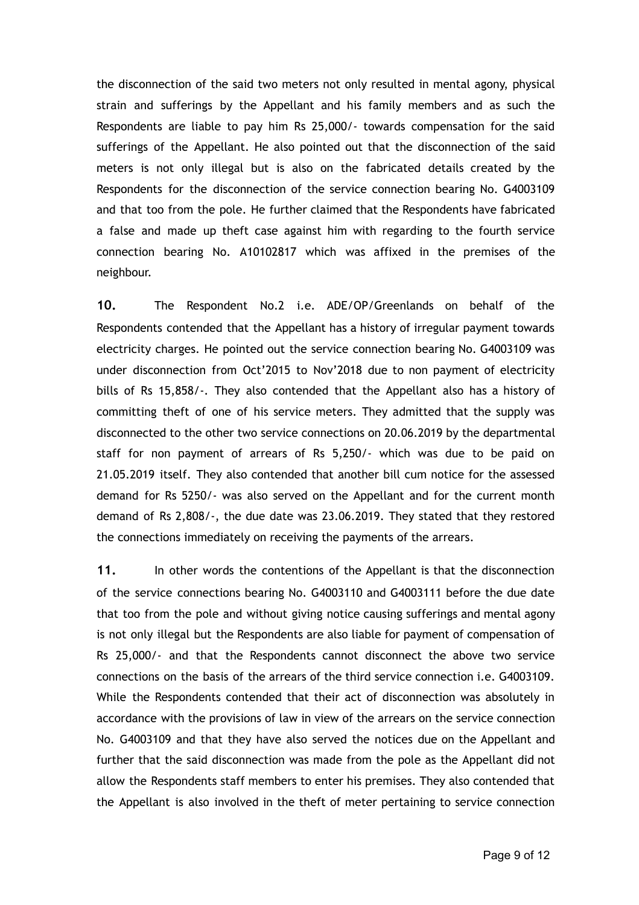the disconnection of the said two meters not only resulted in mental agony, physical strain and sufferings by the Appellant and his family members and as such the Respondents are liable to pay him Rs 25,000/- towards compensation for the said sufferings of the Appellant. He also pointed out that the disconnection of the said meters is not only illegal but is also on the fabricated details created by the Respondents for the disconnection of the service connection bearing No. G4003109 and that too from the pole. He further claimed that the Respondents have fabricated a false and made up theft case against him with regarding to the fourth service connection bearing No. A10102817 which was affixed in the premises of the neighbour.

**10.** The Respondent No.2 i.e. ADE/OP/Greenlands on behalf of the Respondents contended that the Appellant has a history of irregular payment towards electricity charges. He pointed out the service connection bearing No. G4003109 was under disconnection from Oct'2015 to Nov'2018 due to non payment of electricity bills of Rs 15,858/-. They also contended that the Appellant also has a history of committing theft of one of his service meters. They admitted that the supply was disconnected to the other two service connections on 20.06.2019 by the departmental staff for non payment of arrears of Rs 5,250/- which was due to be paid on 21.05.2019 itself. They also contended that another bill cum notice for the assessed demand for Rs 5250/- was also served on the Appellant and for the current month demand of Rs 2,808/-, the due date was 23.06.2019. They stated that they restored the connections immediately on receiving the payments of the arrears.

**11.** In other words the contentions of the Appellant is that the disconnection of the service connections bearing No. G4003110 and G4003111 before the due date that too from the pole and without giving notice causing sufferings and mental agony is not only illegal but the Respondents are also liable for payment of compensation of Rs 25,000/- and that the Respondents cannot disconnect the above two service connections on the basis of the arrears of the third service connection i.e. G4003109. While the Respondents contended that their act of disconnection was absolutely in accordance with the provisions of law in view of the arrears on the service connection No. G4003109 and that they have also served the notices due on the Appellant and further that the said disconnection was made from the pole as the Appellant did not allow the Respondents staff members to enter his premises. They also contended that the Appellant is also involved in the theft of meter pertaining to service connection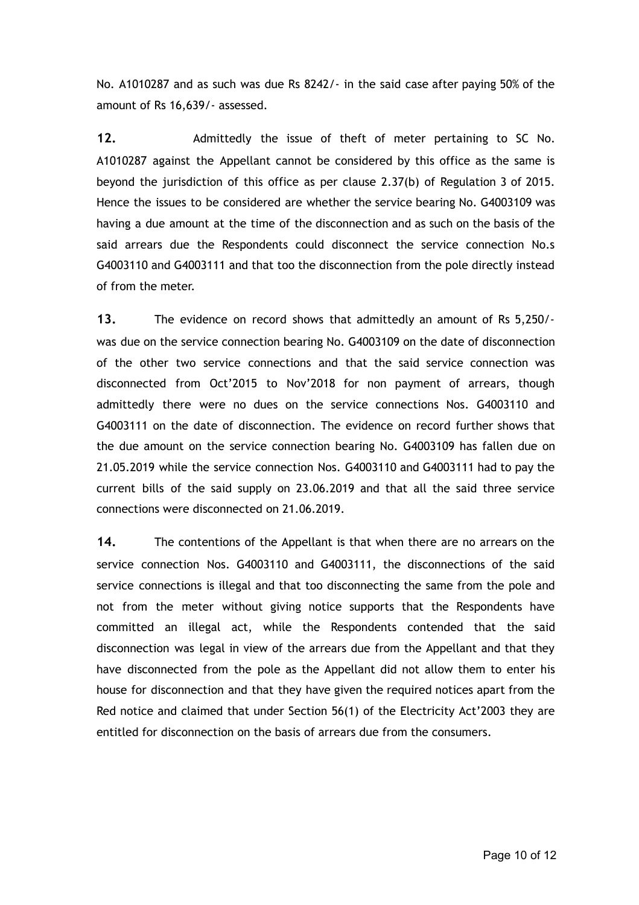No. A1010287 and as such was due Rs 8242/- in the said case after paying 50% of the amount of Rs 16,639/- assessed.

12. Admittedly the issue of theft of meter pertaining to SC No. A1010287 against the Appellant cannot be considered by this office as the same is beyond the jurisdiction of this office as per clause 2.37(b) of Regulation 3 of 2015. Hence the issues to be considered are whether the service bearing No. G4003109 was having a due amount at the time of the disconnection and as such on the basis of the said arrears due the Respondents could disconnect the service connection No.s G4003110 and G4003111 and that too the disconnection from the pole directly instead of from the meter.

**13.** The evidence on record shows that admittedly an amount of Rs 5,250/ was due on the service connection bearing No. G4003109 on the date of disconnection of the other two service connections and that the said service connection was disconnected from Oct'2015 to Nov'2018 for non payment of arrears, though admittedly there were no dues on the service connections Nos. G4003110 and G4003111 on the date of disconnection. The evidence on record further shows that the due amount on the service connection bearing No. G4003109 has fallen due on 21.05.2019 while the service connection Nos. G4003110 and G4003111 had to pay the current bills of the said supply on 23.06.2019 and that all the said three service connections were disconnected on 21.06.2019.

**14.** The contentions of the Appellant is that when there are no arrears on the service connection Nos. G4003110 and G4003111, the disconnections of the said service connections is illegal and that too disconnecting the same from the pole and not from the meter without giving notice supports that the Respondents have committed an illegal act, while the Respondents contended that the said disconnection was legal in view of the arrears due from the Appellant and that they have disconnected from the pole as the Appellant did not allow them to enter his house for disconnection and that they have given the required notices apart from the Red notice and claimed that under Section 56(1) of the Electricity Act'2003 they are entitled for disconnection on the basis of arrears due from the consumers.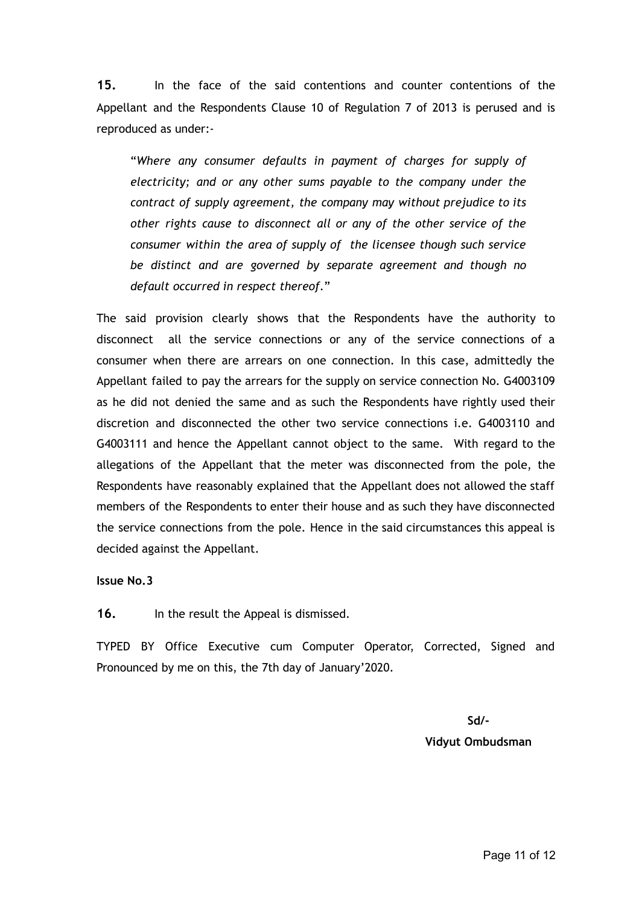**15.** In the face of the said contentions and counter contentions of the Appellant and the Respondents Clause 10 of Regulation 7 of 2013 is perused and is reproduced as under:-

"*Where any consumer defaults in payment of charges for supply of electricity; and or any other sums payable to the company under the contract of supply agreement, the company may without prejudice to its other rights cause to disconnect all or any of the other service of the consumer within the area of supply of the licensee though such service be distinct and are governed by separate agreement and though no default occurred in respect thereof*."

The said provision clearly shows that the Respondents have the authority to disconnect all the service connections or any of the service connections of a consumer when there are arrears on one connection. In this case, admittedly the Appellant failed to pay the arrears for the supply on service connection No. G4003109 as he did not denied the same and as such the Respondents have rightly used their discretion and disconnected the other two service connections i.e. G4003110 and G4003111 and hence the Appellant cannot object to the same. With regard to the allegations of the Appellant that the meter was disconnected from the pole, the Respondents have reasonably explained that the Appellant does not allowed the staff members of the Respondents to enter their house and as such they have disconnected the service connections from the pole. Hence in the said circumstances this appeal is decided against the Appellant.

#### **Issue No.3**

**16.** In the result the Appeal is dismissed.

TYPED BY Office Executive cum Computer Operator, Corrected, Signed and Pronounced by me on this, the 7th day of January'2020.

> **Sd/- Vidyut Ombudsman**